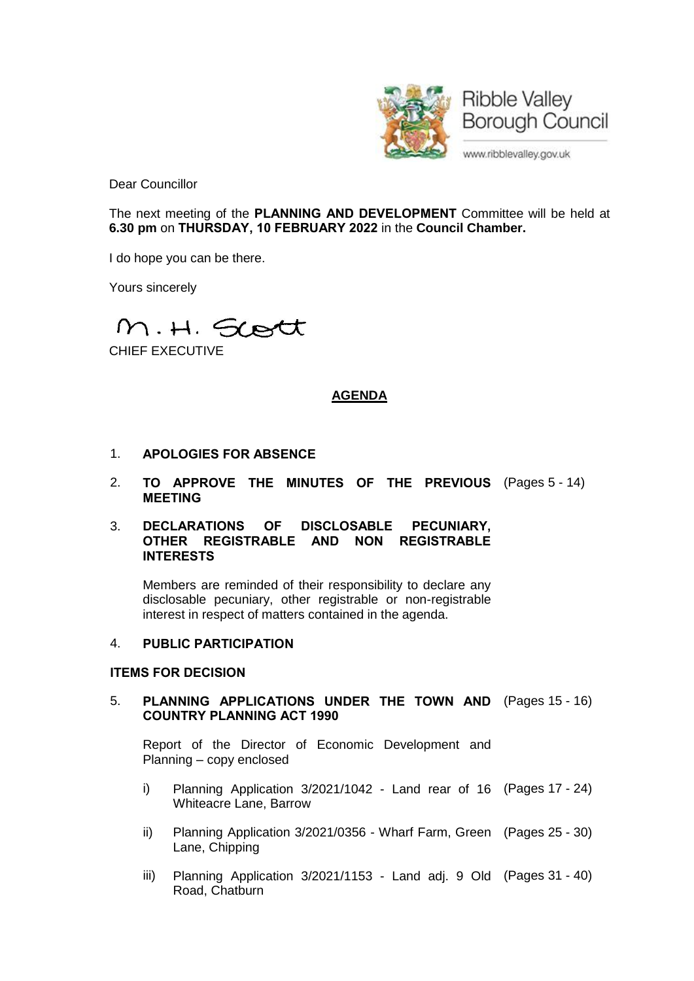

Dear Councillor

The next meeting of the **PLANNING AND DEVELOPMENT** Committee will be held at **6.30 pm** on **THURSDAY, 10 FEBRUARY 2022** in the **Council Chamber.**

I do hope you can be there.

Yours sincerely

M.H. Scott

CHIEF EXECUTIVE

# **AGENDA**

- 1. **APOLOGIES FOR ABSENCE**
- 2. **TO APPROVE THE MINUTES OF THE PREVIOUS** (Pages 5 14) **MEETING**

### 3. **DECLARATIONS OF DISCLOSABLE PECUNIARY, OTHER REGISTRABLE AND NON REGISTRABLE INTERESTS**

Members are reminded of their responsibility to declare any disclosable pecuniary, other registrable or non-registrable interest in respect of matters contained in the agenda.

### 4. **PUBLIC PARTICIPATION**

# **ITEMS FOR DECISION**

# 5. **PLANNING APPLICATIONS UNDER THE TOWN AND** (Pages 15 - 16) **COUNTRY PLANNING ACT 1990**

Report of the Director of Economic Development and Planning – copy enclosed

- i) Planning Application 3/2021/1042 Land rear of 16 (Pages 17 24) Whiteacre Lane, Barrow
- ii) Planning Application 3/2021/0356 Wharf Farm, Green (Pages 25 30) Lane, Chipping
- iii) Planning Application 3/2021/1153 Land adj. 9 Old (Pages 31 40)Road, Chatburn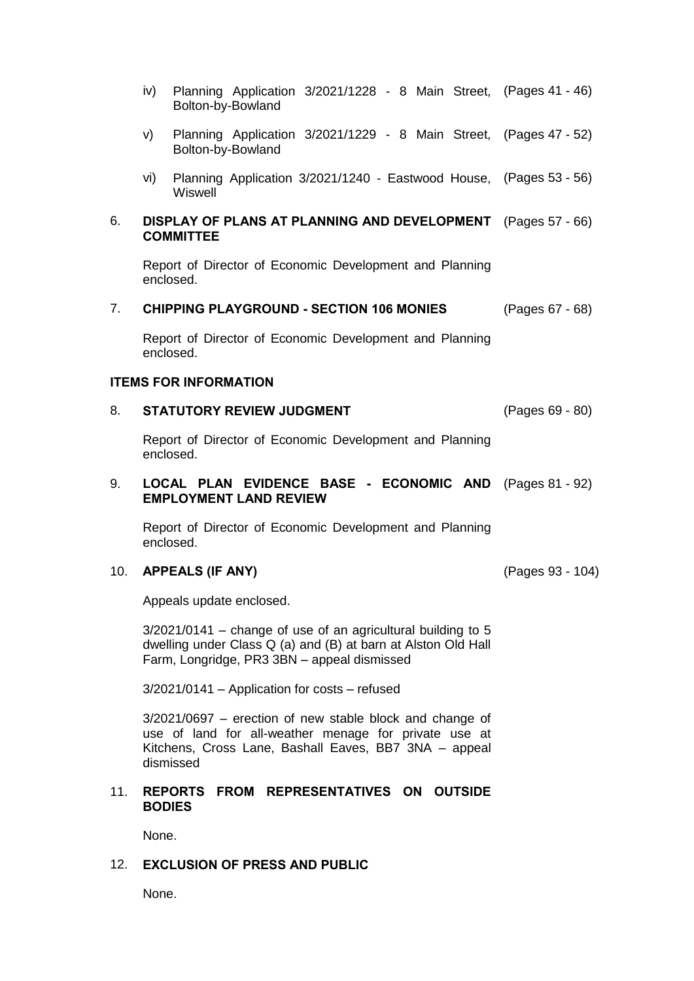- iv) Planning Application 3/2021/1228 8 Main Street, (Pages 41 46) Bolton-by-Bowland
- v) Planning Application 3/2021/1229 8 Main Street, (Pages 47 52) Bolton-by-Bowland
- vi) Planning Application 3/2021/1240 Eastwood House, (Pages 53 56) **Wiswell**

#### 6. **DISPLAY OF PLANS AT PLANNING AND DEVELOPMENT** (Pages 57 - 66) **COMMITTEE**

Report of Director of Economic Development and Planning enclosed.

7. **CHIPPING PLAYGROUND - SECTION 106 MONIES** (Pages 67 - 68)

Report of Director of Economic Development and Planning enclosed.

#### **ITEMS FOR INFORMATION**

### 8. **STATUTORY REVIEW JUDGMENT** (Pages 69 - 80)

Report of Director of Economic Development and Planning enclosed.

#### 9. **LOCAL PLAN EVIDENCE BASE - ECONOMIC AND** (Pages 81 - 92) **EMPLOYMENT LAND REVIEW**

Report of Director of Economic Development and Planning enclosed.

# 10. **APPEALS (IF ANY)** (Pages 93 - 104)

Appeals update enclosed.

 $3/2021/0141$  – change of use of an agricultural building to 5 dwelling under Class Q (a) and (B) at barn at Alston Old Hall Farm, Longridge, PR3 3BN – appeal dismissed

3/2021/0141 – Application for costs – refused

3/2021/0697 – erection of new stable block and change of use of land for all-weather menage for private use at Kitchens, Cross Lane, Bashall Eaves, BB7 3NA – appeal dismissed

### 11. **REPORTS FROM REPRESENTATIVES ON OUTSIDE BODIES**

None.

# 12. **EXCLUSION OF PRESS AND PUBLIC**

None.